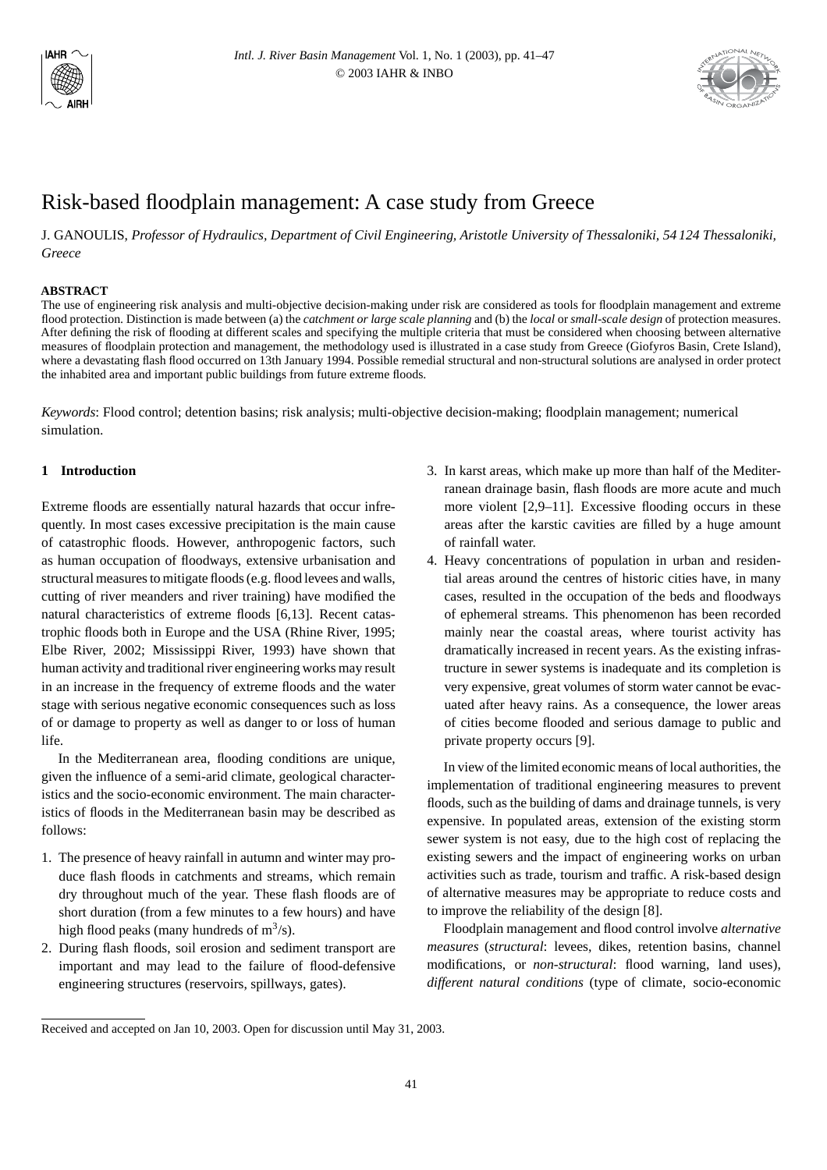



# Risk-based floodplain management: A case study from Greece

J. GANOULIS, *Professor of Hydraulics, Department of Civil Engineering, Aristotle University of Thessaloniki, 54 124 Thessaloniki, Greece*

## **ABSTRACT**

The use of engineering risk analysis and multi-objective decision-making under risk are considered as tools for floodplain management and extreme flood protection. Distinction is made between (a) the *catchment or large scale planning* and (b) the *local* or *small-scale design* of protection measures. After defining the risk of flooding at different scales and specifying the multiple criteria that must be considered when choosing between alternative measures of floodplain protection and management, the methodology used is illustrated in a case study from Greece (Giofyros Basin, Crete Island), where a devastating flash flood occurred on 13th January 1994. Possible remedial structural and non-structural solutions are analysed in order protect the inhabited area and important public buildings from future extreme floods.

*Keywords*: Flood control; detention basins; risk analysis; multi-objective decision-making; floodplain management; numerical simulation.

# **1 Introduction**

Extreme floods are essentially natural hazards that occur infrequently. In most cases excessive precipitation is the main cause of catastrophic floods. However, anthropogenic factors, such as human occupation of floodways, extensive urbanisation and structural measures to mitigate floods (e.g. flood levees and walls, cutting of river meanders and river training) have modified the natural characteristics of extreme floods [6,13]. Recent catastrophic floods both in Europe and the USA (Rhine River, 1995; Elbe River, 2002; Mississippi River, 1993) have shown that human activity and traditional river engineering works may result in an increase in the frequency of extreme floods and the water stage with serious negative economic consequences such as loss of or damage to property as well as danger to or loss of human life.

In the Mediterranean area, flooding conditions are unique, given the influence of a semi-arid climate, geological characteristics and the socio-economic environment. The main characteristics of floods in the Mediterranean basin may be described as follows:

- 1. The presence of heavy rainfall in autumn and winter may produce flash floods in catchments and streams, which remain dry throughout much of the year. These flash floods are of short duration (from a few minutes to a few hours) and have high flood peaks (many hundreds of  $m^3/s$ ).
- 2. During flash floods, soil erosion and sediment transport are important and may lead to the failure of flood-defensive engineering structures (reservoirs, spillways, gates).
- 3. In karst areas, which make up more than half of the Mediterranean drainage basin, flash floods are more acute and much more violent [2,9–11]. Excessive flooding occurs in these areas after the karstic cavities are filled by a huge amount of rainfall water.
- 4. Heavy concentrations of population in urban and residential areas around the centres of historic cities have, in many cases, resulted in the occupation of the beds and floodways of ephemeral streams. This phenomenon has been recorded mainly near the coastal areas, where tourist activity has dramatically increased in recent years. As the existing infrastructure in sewer systems is inadequate and its completion is very expensive, great volumes of storm water cannot be evacuated after heavy rains. As a consequence, the lower areas of cities become flooded and serious damage to public and private property occurs [9].

In view of the limited economic means of local authorities, the implementation of traditional engineering measures to prevent floods, such as the building of dams and drainage tunnels, is very expensive. In populated areas, extension of the existing storm sewer system is not easy, due to the high cost of replacing the existing sewers and the impact of engineering works on urban activities such as trade, tourism and traffic. A risk-based design of alternative measures may be appropriate to reduce costs and to improve the reliability of the design [8].

Floodplain management and flood control involve *alternative measures* (*structural*: levees, dikes, retention basins, channel modifications, or *non-structural*: flood warning, land uses), *different natural conditions* (type of climate, socio-economic

Received and accepted on Jan 10, 2003. Open for discussion until May 31, 2003.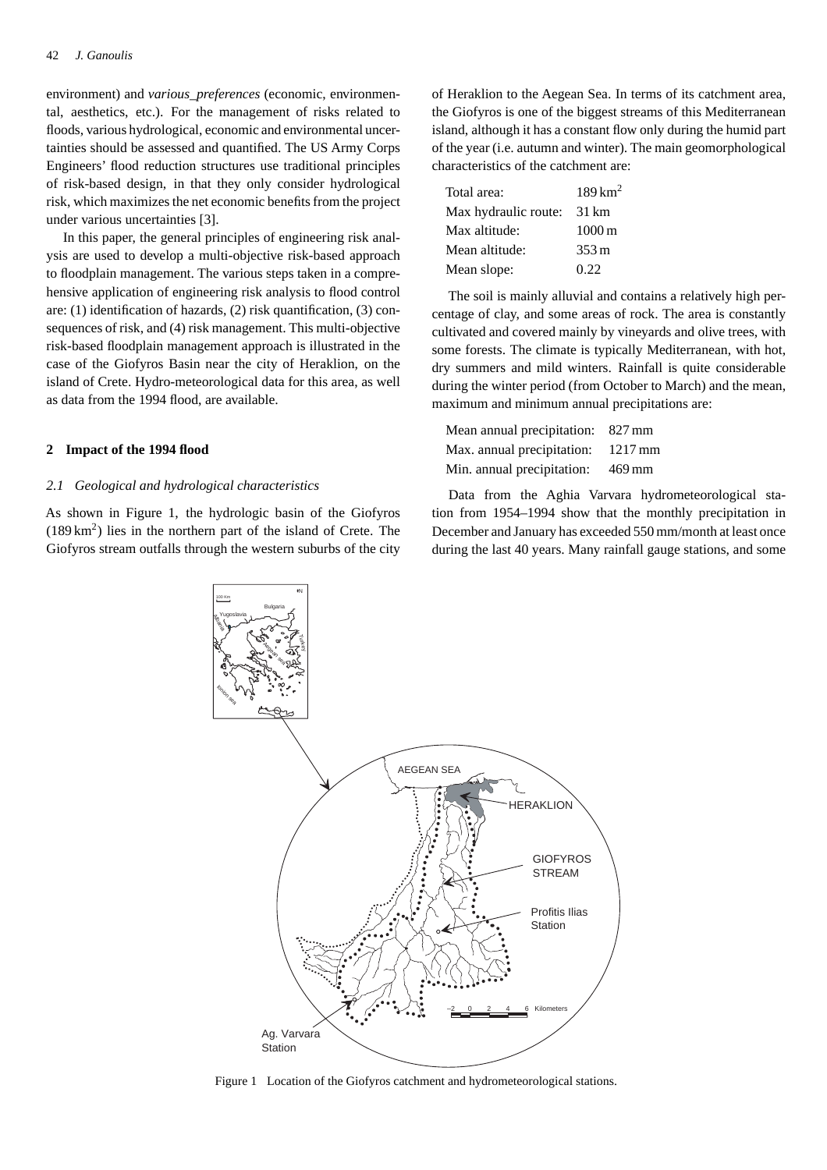environment) and *various\_preferences* (economic, environmental, aesthetics, etc.). For the management of risks related to floods, various hydrological, economic and environmental uncertainties should be assessed and quantified. The US Army Corps Engineers' flood reduction structures use traditional principles of risk-based design, in that they only consider hydrological risk, which maximizes the net economic benefits from the project under various uncertainties [3].

In this paper, the general principles of engineering risk analysis are used to develop a multi-objective risk-based approach to floodplain management. The various steps taken in a comprehensive application of engineering risk analysis to flood control are: (1) identification of hazards, (2) risk quantification, (3) consequences of risk, and (4) risk management. This multi-objective risk-based floodplain management approach is illustrated in the case of the Giofyros Basin near the city of Heraklion, on the island of Crete. Hydro-meteorological data for this area, as well as data from the 1994 flood, are available.

## **2 Impact of the 1994 flood**

## *2.1 Geological and hydrological characteristics*

As shown in Figure 1, the hydrologic basin of the Giofyros  $(189 \text{ km}^2)$  lies in the northern part of the island of Crete. The Giofyros stream outfalls through the western suburbs of the city

of Heraklion to the Aegean Sea. In terms of its catchment area, the Giofyros is one of the biggest streams of this Mediterranean island, although it has a constant flow only during the humid part of the year (i.e. autumn and winter). The main geomorphological characteristics of the catchment are:

| Total area:          | $189 \mathrm{km}^2$ |
|----------------------|---------------------|
| Max hydraulic route: | 31 km               |
| Max altitude:        | $1000 \,\mathrm{m}$ |
| Mean altitude:       | $353 \,\mathrm{m}$  |
| Mean slope:          | 0.22                |

The soil is mainly alluvial and contains a relatively high percentage of clay, and some areas of rock. The area is constantly cultivated and covered mainly by vineyards and olive trees, with some forests. The climate is typically Mediterranean, with hot, dry summers and mild winters. Rainfall is quite considerable during the winter period (from October to March) and the mean, maximum and minimum annual precipitations are:

| Mean annual precipitation: 827 mm  |        |
|------------------------------------|--------|
| Max. annual precipitation: 1217 mm |        |
| Min. annual precipitation:         | 469 mm |

Data from the Aghia Varvara hydrometeorological station from 1954–1994 show that the monthly precipitation in December and January has exceeded 550 mm/month at least once during the last 40 years. Many rainfall gauge stations, and some



Figure 1 Location of the Giofyros catchment and hydrometeorological stations.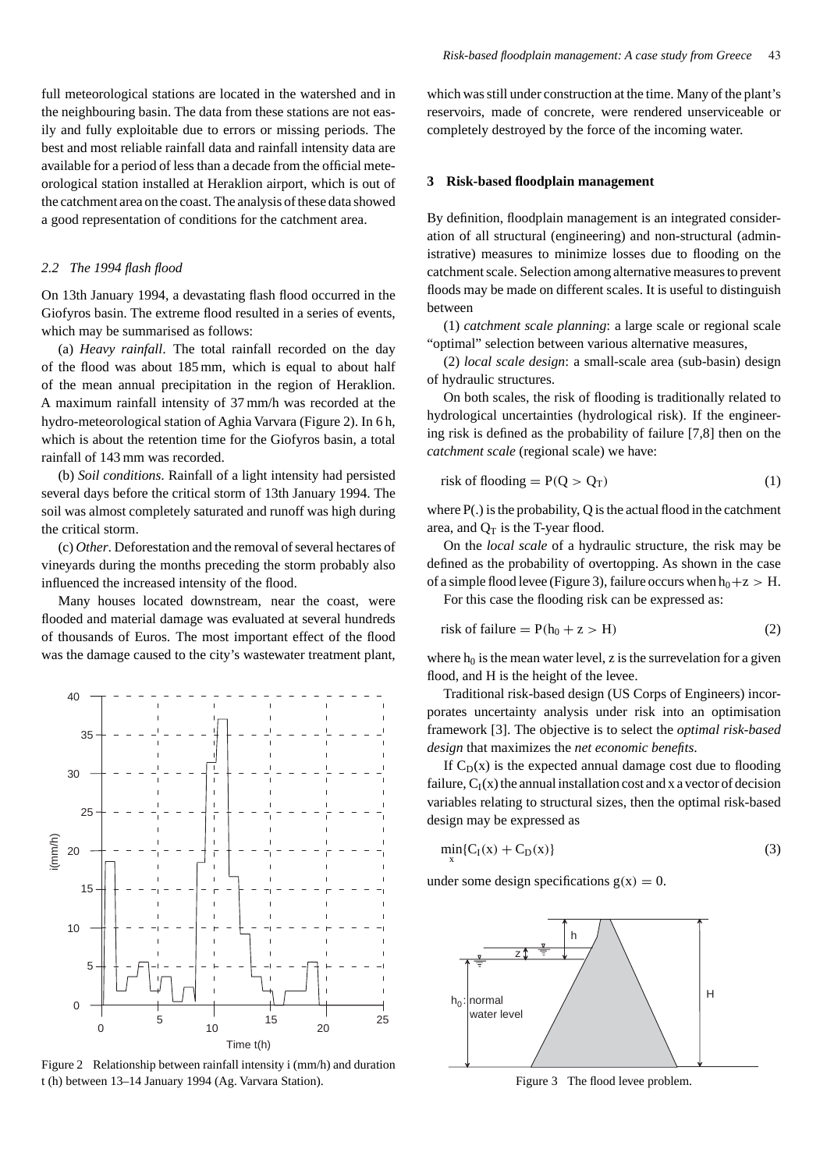full meteorological stations are located in the watershed and in the neighbouring basin. The data from these stations are not easily and fully exploitable due to errors or missing periods. The best and most reliable rainfall data and rainfall intensity data are available for a period of less than a decade from the official meteorological station installed at Heraklion airport, which is out of the catchment area on the coast. The analysis of these data showed a good representation of conditions for the catchment area.

## *2.2 The 1994 flash flood*

On 13th January 1994, a devastating flash flood occurred in the Giofyros basin. The extreme flood resulted in a series of events, which may be summarised as follows:

(a) *Heavy rainfall*. The total rainfall recorded on the day of the flood was about 185 mm, which is equal to about half of the mean annual precipitation in the region of Heraklion. A maximum rainfall intensity of 37 mm/h was recorded at the hydro-meteorological station of Aghia Varvara (Figure 2). In 6 h, which is about the retention time for the Giofyros basin, a total rainfall of 143 mm was recorded.

(b) *Soil conditions*. Rainfall of a light intensity had persisted several days before the critical storm of 13th January 1994. The soil was almost completely saturated and runoff was high during the critical storm.

(c) *Other*. Deforestation and the removal of several hectares of vineyards during the months preceding the storm probably also influenced the increased intensity of the flood.

Many houses located downstream, near the coast, were flooded and material damage was evaluated at several hundreds of thousands of Euros. The most important effect of the flood was the damage caused to the city's wastewater treatment plant,



Figure 2 Relationship between rainfall intensity i (mm/h) and duration t (h) between 13–14 January 1994 (Ag. Varvara Station).

which was still under construction at the time. Many of the plant's reservoirs, made of concrete, were rendered unserviceable or completely destroyed by the force of the incoming water.

## **3 Risk-based floodplain management**

By definition, floodplain management is an integrated consideration of all structural (engineering) and non-structural (administrative) measures to minimize losses due to flooding on the catchment scale. Selection among alternative measures to prevent floods may be made on different scales. It is useful to distinguish between

(1) *catchment scale planning*: a large scale or regional scale "optimal" selection between various alternative measures,

(2) *local scale design*: a small-scale area (sub-basin) design of hydraulic structures.

On both scales, the risk of flooding is traditionally related to hydrological uncertainties (hydrological risk). If the engineering risk is defined as the probability of failure [7,8] then on the *catchment scale* (regional scale) we have:

$$
risk of flooding = P(Q > Q_T)
$$
\n(1)

where  $P(.)$  is the probability, Q is the actual flood in the catchment area, and  $Q_T$  is the T-year flood.

On the *local scale* of a hydraulic structure, the risk may be defined as the probability of overtopping. As shown in the case of a simple flood levee (Figure 3), failure occurs when  $h_0+z > H$ . For this case the flooding risk can be expressed as:

$$
risk of failure = P(h_0 + z > H)
$$
 (2)

where  $h_0$  is the mean water level, z is the surrevelation for a given flood, and H is the height of the levee.

Traditional risk-based design (US Corps of Engineers) incorporates uncertainty analysis under risk into an optimisation framework [3]. The objective is to select the *optimal risk-based design* that maximizes the *net economic benefits*.

If  $C_D(x)$  is the expected annual damage cost due to flooding failure,  $C_I(x)$  the annual installation cost and x a vector of decision variables relating to structural sizes, then the optimal risk-based design may be expressed as

$$
\min_{\mathbf{x}} \{ C_{\mathbf{I}}(\mathbf{x}) + C_{\mathbf{D}}(\mathbf{x}) \} \tag{3}
$$

under some design specifications  $g(x) = 0$ .



Figure 3 The flood levee problem.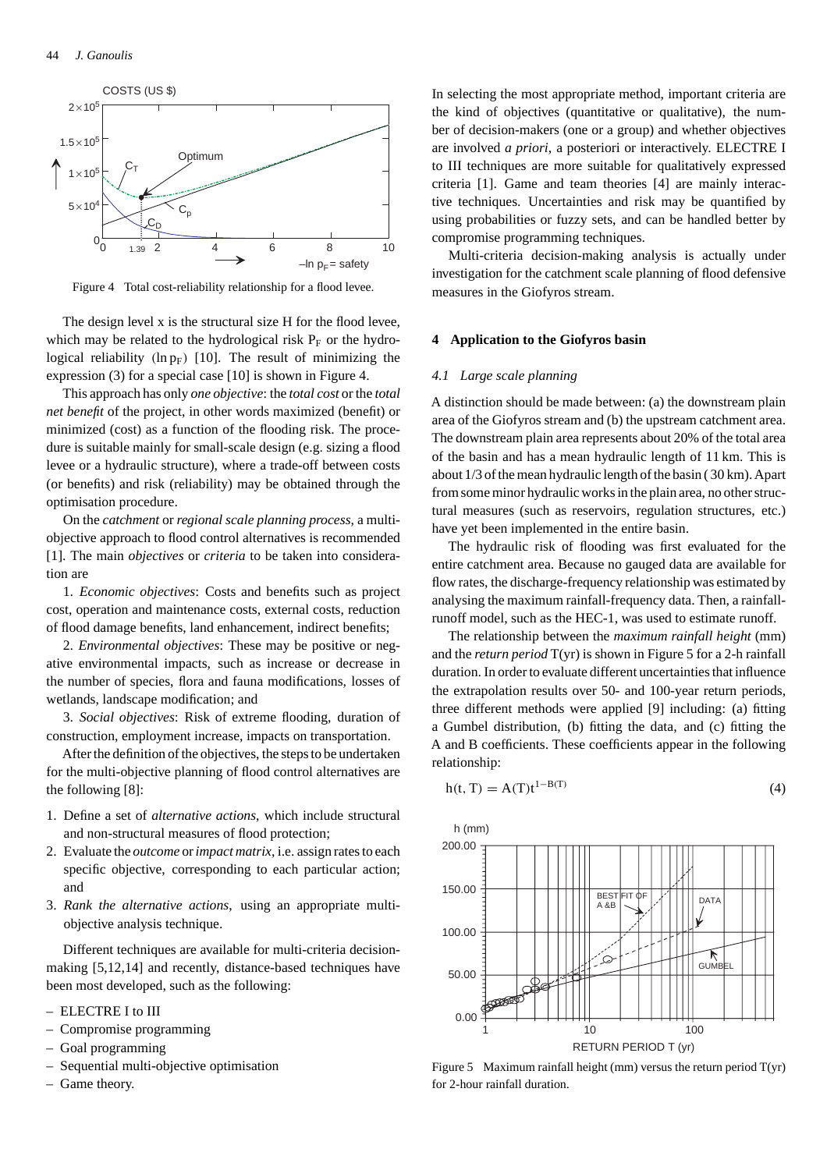

Figure 4 Total cost-reliability relationship for a flood levee.

The design level x is the structural size H for the flood levee, which may be related to the hydrological risk  $P_F$  or the hydrological reliability  $(\ln p_F)$  [10]. The result of minimizing the expression (3) for a special case [10] is shown in Figure 4.

This approach has only *one objective*: the *total cost* or the *total net benefit* of the project, in other words maximized (benefit) or minimized (cost) as a function of the flooding risk. The procedure is suitable mainly for small-scale design (e.g. sizing a flood levee or a hydraulic structure), where a trade-off between costs (or benefits) and risk (reliability) may be obtained through the optimisation procedure.

On the *catchment* or *regional scale planning process*, a multiobjective approach to flood control alternatives is recommended [1]. The main *objectives* or *criteria* to be taken into consideration are

1. *Economic objectives*: Costs and benefits such as project cost, operation and maintenance costs, external costs, reduction of flood damage benefits, land enhancement, indirect benefits;

2. *Environmental objectives*: These may be positive or negative environmental impacts, such as increase or decrease in the number of species, flora and fauna modifications, losses of wetlands, landscape modification; and

3. *Social objectives*: Risk of extreme flooding, duration of construction, employment increase, impacts on transportation.

After the definition of the objectives, the steps to be undertaken for the multi-objective planning of flood control alternatives are the following [8]:

- 1. Define a set of *alternative actions*, which include structural and non-structural measures of flood protection;
- 2. Evaluate the *outcome* or*impact matrix*, i.e. assign rates to each specific objective, corresponding to each particular action; and
- 3. *Rank the alternative actions*, using an appropriate multiobjective analysis technique.

Different techniques are available for multi-criteria decisionmaking [5,12,14] and recently, distance-based techniques have been most developed, such as the following:

- ELECTRE I to III
- Compromise programming
- Goal programming
- Sequential multi-objective optimisation
- Game theory.

In selecting the most appropriate method, important criteria are the kind of objectives (quantitative or qualitative), the number of decision-makers (one or a group) and whether objectives are involved *a priori*, a posteriori or interactively. ELECTRE I to III techniques are more suitable for qualitatively expressed criteria [1]. Game and team theories [4] are mainly interactive techniques. Uncertainties and risk may be quantified by using probabilities or fuzzy sets, and can be handled better by compromise programming techniques.

Multi-criteria decision-making analysis is actually under investigation for the catchment scale planning of flood defensive measures in the Giofyros stream.

#### **4 Application to the Giofyros basin**

#### *4.1 Large scale planning*

A distinction should be made between: (a) the downstream plain area of the Giofyros stream and (b) the upstream catchment area. The downstream plain area represents about 20% of the total area of the basin and has a mean hydraulic length of 11 km. This is about 1/3 of the mean hydraulic length of the basin ( 30 km). Apart from some minor hydraulic works in the plain area, no other structural measures (such as reservoirs, regulation structures, etc.) have yet been implemented in the entire basin.

The hydraulic risk of flooding was first evaluated for the entire catchment area. Because no gauged data are available for flow rates, the discharge-frequency relationship was estimated by analysing the maximum rainfall-frequency data. Then, a rainfallrunoff model, such as the HEC-1, was used to estimate runoff.

The relationship between the *maximum rainfall height* (mm) and the *return period* T(yr) is shown in Figure 5 for a 2-h rainfall duration. In order to evaluate different uncertainties that influence the extrapolation results over 50- and 100-year return periods, three different methods were applied [9] including: (a) fitting a Gumbel distribution, (b) fitting the data, and (c) fitting the A and B coefficients. These coefficients appear in the following relationship:

$$
h(t, T) = A(T)t^{1-B(T)}
$$
\n
$$
\tag{4}
$$



Figure 5 Maximum rainfall height (mm) versus the return period  $T(yr)$ for 2-hour rainfall duration.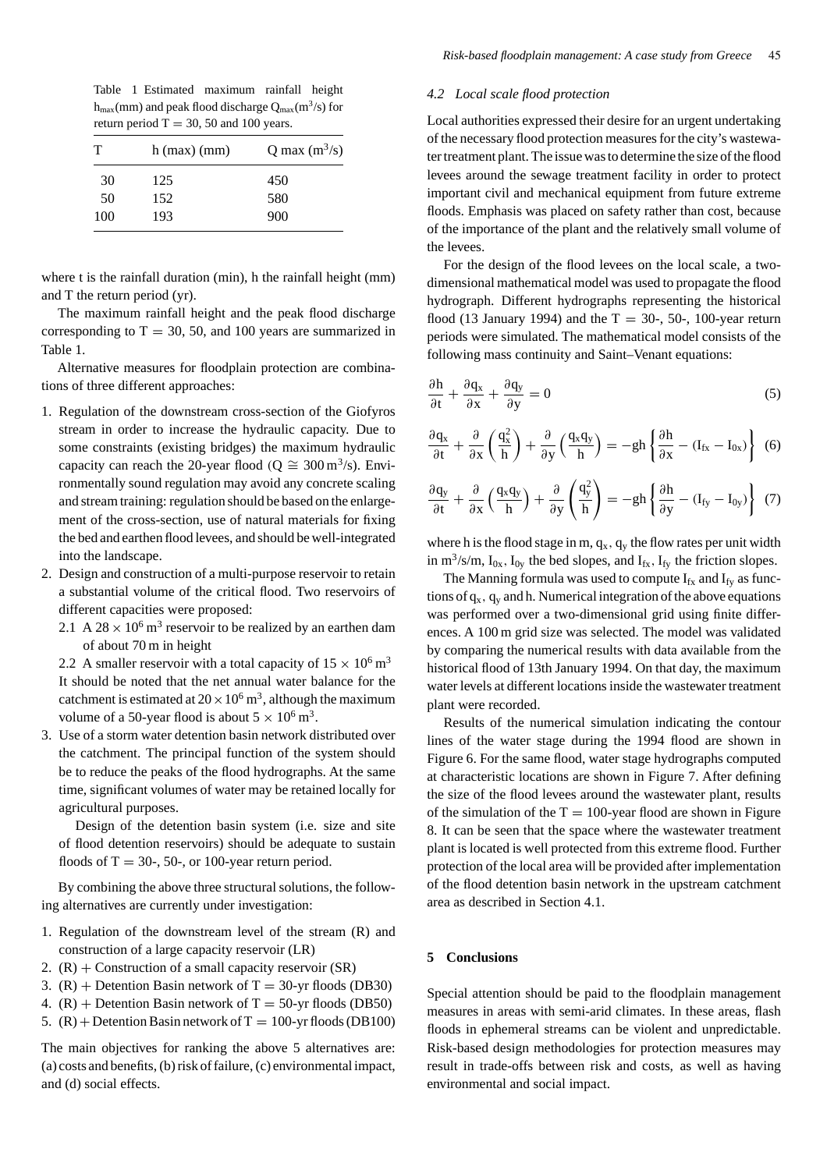Table 1 Estimated maximum rainfall height  $h_{\text{max}}$ (mm) and peak flood discharge  $Q_{\text{max}}$ (m<sup>3</sup>/s) for return period  $T = 30, 50$  and 100 years.

| т   | $h$ (max) (mm) | Q max $(m^3/s)$ |
|-----|----------------|-----------------|
| 30  | 125            | 450             |
| 50  | 152            | 580             |
| 100 | 193            | 900             |

where t is the rainfall duration (min), h the rainfall height (mm) and T the return period (yr).

The maximum rainfall height and the peak flood discharge corresponding to  $T = 30, 50,$  and 100 years are summarized in Table 1.

Alternative measures for floodplain protection are combinations of three different approaches:

- 1. Regulation of the downstream cross-section of the Giofyros stream in order to increase the hydraulic capacity. Due to some constraints (existing bridges) the maximum hydraulic capacity can reach the 20-year flood  $(Q \cong 300 \,\text{m}^3/\text{s})$ . Environmentally sound regulation may avoid any concrete scaling and stream training: regulation should be based on the enlargement of the cross-section, use of natural materials for fixing the bed and earthen flood levees, and should be well-integrated into the landscape.
- 2. Design and construction of a multi-purpose reservoir to retain a substantial volume of the critical flood. Two reservoirs of different capacities were proposed:
	- 2.1 A 28  $\times$  10<sup>6</sup> m<sup>3</sup> reservoir to be realized by an earthen dam of about 70 m in height

2.2 A smaller reservoir with a total capacity of  $15 \times 10^6$  m<sup>3</sup> It should be noted that the net annual water balance for the catchment is estimated at  $20 \times 10^6$  m<sup>3</sup>, although the maximum volume of a 50-year flood is about  $5 \times 10^6$  m<sup>3</sup>.

3. Use of a storm water detention basin network distributed over the catchment. The principal function of the system should be to reduce the peaks of the flood hydrographs. At the same time, significant volumes of water may be retained locally for agricultural purposes.

Design of the detention basin system (i.e. size and site of flood detention reservoirs) should be adequate to sustain floods of  $T = 30$ -, 50-, or 100-year return period.

By combining the above three structural solutions, the following alternatives are currently under investigation:

- 1. Regulation of the downstream level of the stream (R) and construction of a large capacity reservoir (LR)
- 2.  $(R)$  + Construction of a small capacity reservoir  $(SR)$
- 3.  $(R)$  + Detention Basin network of T = 30-yr floods (DB30)
- 4.  $(R)$  + Detention Basin network of T = 50-yr floods (DB50)
- 5.  $(R)$  + Detention Basin network of T = 100-yr floods (DB100)

The main objectives for ranking the above 5 alternatives are: (a) costs and benefits, (b) risk of failure, (c) environmental impact, and (d) social effects.

#### *4.2 Local scale flood protection*

Local authorities expressed their desire for an urgent undertaking of the necessary flood protection measures for the city's wastewater treatment plant. The issue was to determine the size of the flood levees around the sewage treatment facility in order to protect important civil and mechanical equipment from future extreme floods. Emphasis was placed on safety rather than cost, because of the importance of the plant and the relatively small volume of the levees.

For the design of the flood levees on the local scale, a twodimensional mathematical model was used to propagate the flood hydrograph. Different hydrographs representing the historical flood (13 January 1994) and the  $T = 30-$ , 50-, 100-year return periods were simulated. The mathematical model consists of the following mass continuity and Saint–Venant equations:

$$
\frac{\partial \mathbf{h}}{\partial t} + \frac{\partial \mathbf{q}_x}{\partial x} + \frac{\partial \mathbf{q}_y}{\partial y} = 0
$$
 (5)

$$
\frac{\partial q_{x}}{\partial t} + \frac{\partial}{\partial x} \left( \frac{q_{x}^{2}}{h} \right) + \frac{\partial}{\partial y} \left( \frac{q_{x} q_{y}}{h} \right) = -gh \left\{ \frac{\partial h}{\partial x} - (I_{fx} - I_{0x}) \right\}
$$
(6)

$$
\frac{\partial q_y}{\partial t} + \frac{\partial}{\partial x} \left( \frac{q_x q_y}{h} \right) + \frac{\partial}{\partial y} \left( \frac{q_y^2}{h} \right) = -gh \left\{ \frac{\partial h}{\partial y} - (I_{fy} - I_{0y}) \right\} (7)
$$

where h is the flood stage in m,  $q_x$ ,  $q_y$  the flow rates per unit width in  $m^3/s/m$ ,  $I_{0x}$ ,  $I_{0y}$  the bed slopes, and  $I_{fx}$ ,  $I_{fy}$  the friction slopes.

The Manning formula was used to compute  $I_{fx}$  and  $I_{fy}$  as functions of  $q_x$ ,  $q_y$  and h. Numerical integration of the above equations was performed over a two-dimensional grid using finite differences. A 100 m grid size was selected. The model was validated by comparing the numerical results with data available from the historical flood of 13th January 1994. On that day, the maximum water levels at different locations inside the wastewater treatment plant were recorded.

Results of the numerical simulation indicating the contour lines of the water stage during the 1994 flood are shown in Figure 6. For the same flood, water stage hydrographs computed at characteristic locations are shown in Figure 7. After defining the size of the flood levees around the wastewater plant, results of the simulation of the  $T = 100$ -year flood are shown in Figure 8. It can be seen that the space where the wastewater treatment plant is located is well protected from this extreme flood. Further protection of the local area will be provided after implementation of the flood detention basin network in the upstream catchment area as described in Section 4.1.

## **5 Conclusions**

Special attention should be paid to the floodplain management measures in areas with semi-arid climates. In these areas, flash floods in ephemeral streams can be violent and unpredictable. Risk-based design methodologies for protection measures may result in trade-offs between risk and costs, as well as having environmental and social impact.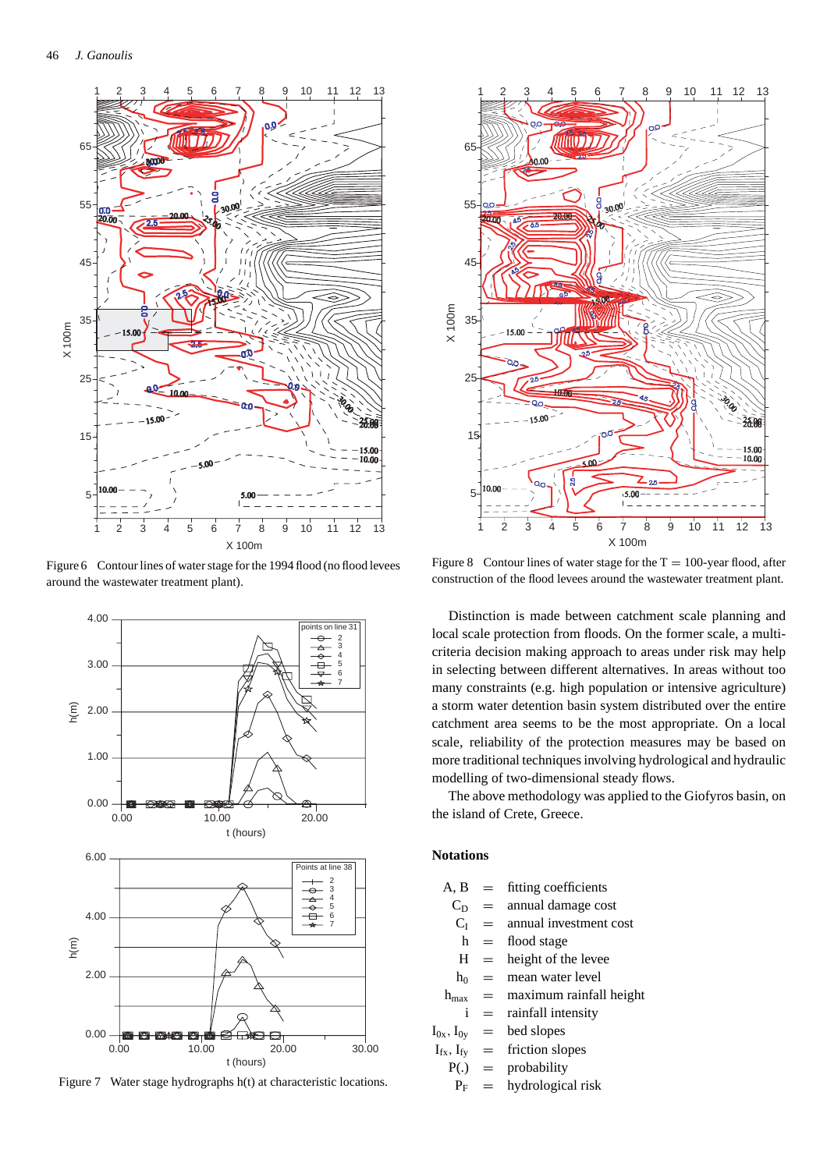

Figure 6 Contour lines of water stage for the 1994 flood (no flood levees around the wastewater treatment plant).



Figure 7 Water stage hydrographs h(t) at characteristic locations.



Figure 8 Contour lines of water stage for the  $T = 100$ -year flood, after construction of the flood levees around the wastewater treatment plant.

Distinction is made between catchment scale planning and local scale protection from floods. On the former scale, a multicriteria decision making approach to areas under risk may help in selecting between different alternatives. In areas without too many constraints (e.g. high population or intensive agriculture) a storm water detention basin system distributed over the entire catchment area seems to be the most appropriate. On a local scale, reliability of the protection measures may be based on more traditional techniques involving hydrological and hydraulic modelling of two-dimensional steady flows.

The above methodology was applied to the Giofyros basin, on the island of Crete, Greece.

# **Notations**

| $A, B =$            |       | fitting coefficients        |
|---------------------|-------|-----------------------------|
| $C_{\rm D}$         |       | $=$ annual damage cost      |
| $C_{I}$             | $=$   | annual investment cost      |
| h                   |       | $=$ flood stage             |
|                     | $H =$ | height of the levee         |
| $h_0$               |       | $=$ mean water level        |
| $h_{\rm max}$       |       | $=$ maximum rainfall height |
| i                   | $=$   | rainfall intensity          |
| $I_{0x}$ , $I_{0y}$ |       | $=$ bed slopes              |
| $I_{fx}$ , $I_{fy}$ |       | $=$ friction slopes         |
| $P(.) =$            |       | probability                 |
| $P_{\rm E}$         |       | hydrological risk           |